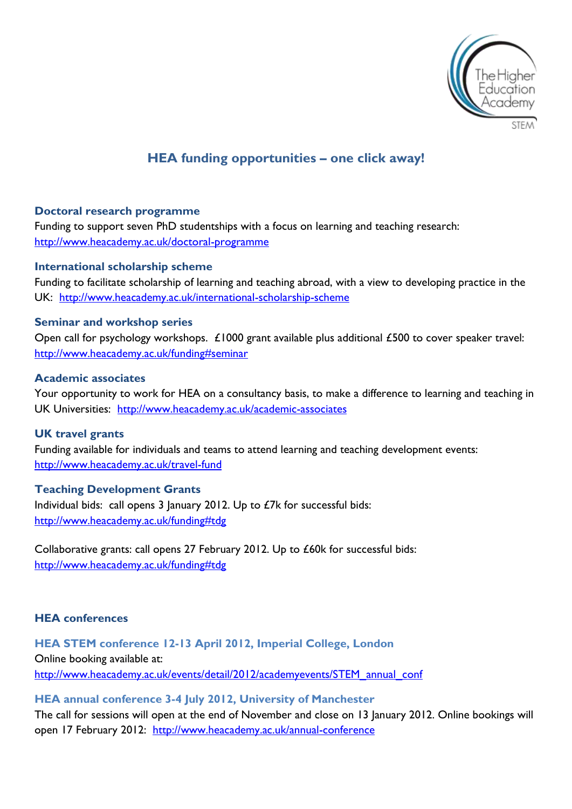

# **HEA funding opportunities – one click away!**

# **Doctoral research programme**

Funding to support seven PhD studentships with a focus on learning and teaching research: <http://www.heacademy.ac.uk/doctoral-programme>

#### **International scholarship scheme**

Funding to facilitate scholarship of learning and teaching abroad, with a view to developing practice in the UK: <http://www.heacademy.ac.uk/international-scholarship-scheme>

#### **Seminar and workshop series**

Open call for psychology workshops. £1000 grant available plus additional £500 to cover speaker travel: <http://www.heacademy.ac.uk/funding#seminar>

#### **Academic associates**

Your opportunity to work for HEA on a consultancy basis, to make a difference to learning and teaching in UK Universities: <http://www.heacademy.ac.uk/academic-associates>

# **UK travel grants**

Funding available for individuals and teams to attend learning and teaching development events: <http://www.heacademy.ac.uk/travel-fund>

# **Teaching Development Grants**

Individual bids: call opens 3 January 2012. Up to £7k for successful bids: <http://www.heacademy.ac.uk/funding#tdg>

Collaborative grants: call opens 27 February 2012. Up to £60k for successful bids: <http://www.heacademy.ac.uk/funding#tdg>

#### **HEA conferences**

**HEA STEM conference 12-13 April 2012, Imperial College, London** Online booking available at: [http://www.heacademy.ac.uk/events/detail/2012/academyevents/STEM\\_annual\\_conf](http://www.heacademy.ac.uk/events/detail/2012/academyevents/STEM_annual_conf)

#### **HEA annual conference 3-4 July 2012, University of Manchester**

The call for sessions will open at the end of November and close on 13 January 2012. Online bookings will open 17 February 2012: <http://www.heacademy.ac.uk/annual-conference>